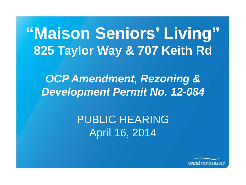# **"Maison Seniors' Living" 825 Taylor Way & 707 Keith Rd**

mendment, Rezoning &<br>1984 - Permit No. 12-084 *OCP Amendment, Rezoning & Development Permit No. 12-084*

> PUBLIC HEARING April 16, 2014

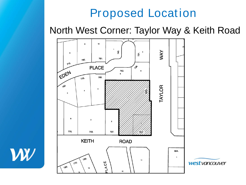### Proposed Location

North West Corner: Taylor Way & Keith Road



W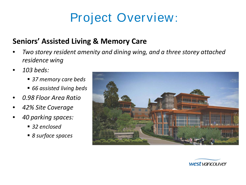## Project Overview:

#### **Seniors' Assisted Living & Memory Care**

- *Two storey resident amenity and dining wing, and a three storey attached residence wing*
- *103 beds:*
	- *37 memory care beds*
	- *66 assisted living beds*
- *0.98 Floor Area Ratio*
- *42% Site Coverage*
- *40 parking spaces:*
	- 32 enclosed
	- *8 surface spaces*



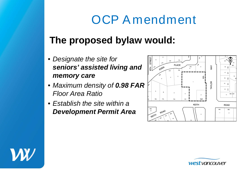## OCP A mendment

### **The proposed bylaw would:**

- *Designate the site for seniors' assisted living and memory care*
- *Maximum density of 0.98 FAR Floor Area Ratio*
- *Establish the site within a Development Permit Area*





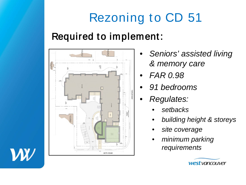# Rezoning to CD 51

### Required to implement:



- *Seniors' assisted living & memory care*
- *FAR 0.98*
- *91 bedrooms*
- *Regulates:*
	- *setbacks*
	- *building height & storeys*
	- *site coverage*
	- *minimum parking requirements*



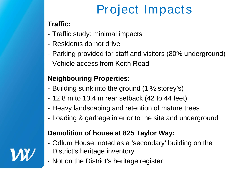# Project Impacts

#### **Traffic:**

- Traffic study: minimal impacts
- Residents do not drive
- Parking provided for staff and visitors (80% underground)
- Vehicle access from Keith Road

#### **Neighbouring Properties:**

- Building sunk into the ground  $(1 \frac{1}{2})$  storey's)
- 12.8 m to 13.4 m rear setback (42 to 44 feet)
- Heavy landscaping and retention of mature trees
- Loading & garbage interior to the site and underground

#### **Demolition of house at 825 Taylor Way:**

- Odlum House: noted as a 'secondary' building on the District's heritage inventory
- Not on the District's heritage register

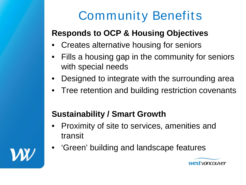# Community Benefits

### **Responds to OCP & Housing Objectives**

- Creates alternative housing for seniors
- Fills a housing gap in the community for seniors with special needs
- Designed to integrate with the surrounding area
- Tree retention and building restriction covenants

### **Sustainability / Smart Growth**

- Proximity of site to services, amenities and transit
- 'Green' building and landscape features